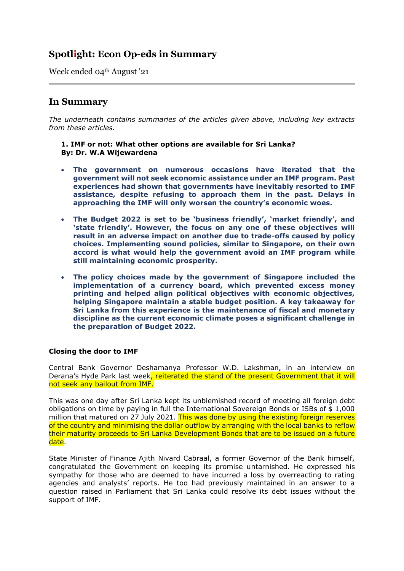# **Spotlight: Econ Op-eds in Summary**

Week ended 04th August '21

# **In Summary**

*The underneath contains summaries of the articles given above, including key extracts from these articles.*

**1. IMF or not: What other options are available for Sri Lanka? By: Dr. W.A Wijewardena**

- **The government on numerous occasions have iterated that the government will not seek economic assistance under an IMF program. Past experiences had shown that governments have inevitably resorted to IMF assistance, despite refusing to approach them in the past. Delays in approaching the IMF will only worsen the country's economic woes.**
- **The Budget 2022 is set to be 'business friendly', 'market friendly', and 'state friendly'. However, the focus on any one of these objectives will result in an adverse impact on another due to trade-offs caused by policy choices. Implementing sound policies, similar to Singapore, on their own accord is what would help the government avoid an IMF program while still maintaining economic prosperity.**
- **The policy choices made by the government of Singapore included the implementation of a currency board, which prevented excess money printing and helped align political objectives with economic objectives, helping Singapore maintain a stable budget position. A key takeaway for Sri Lanka from this experience is the maintenance of fiscal and monetary discipline as the current economic climate poses a significant challenge in the preparation of Budget 2022.**

#### **Closing the door to IMF**

Central Bank Governor Deshamanya Professor W.D. Lakshman, in an interview on Derana's Hyde Park last week, reiterated the stand of the present Government that it will not seek any bailout from IMF.

This was one day after Sri Lanka kept its unblemished record of meeting all foreign debt obligations on time by paying in full the International Sovereign Bonds or ISBs of \$ 1,000 million that matured on 27 July 2021. This was done by using the existing foreign reserves of the country and minimising the dollar outflow by arranging with the local banks to reflow their maturity proceeds to Sri Lanka Development Bonds that are to be issued on a future date.

State Minister of Finance Ajith Nivard Cabraal, a former Governor of the Bank himself, congratulated the Government on keeping its promise untarnished. He expressed his sympathy for those who are deemed to have incurred a loss by overreacting to rating agencies and analysts' reports. He too had previously maintained in an answer to a question raised in Parliament that Sri Lanka could resolve its debt issues without the support of IMF.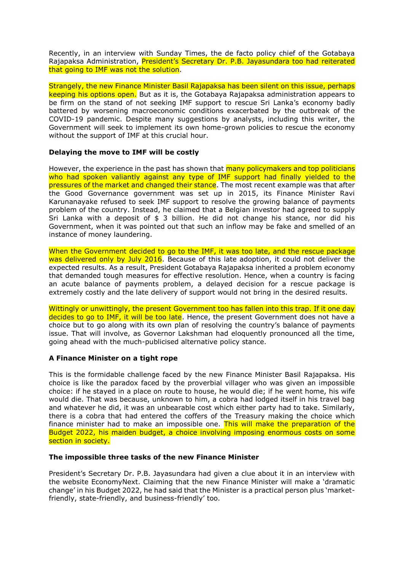Recently, in an interview with Sunday Times, the de facto policy chief of the Gotabaya Rajapaksa Administration, President's Secretary Dr. P.B. Jayasundara too had reiterated that going to IMF was not the solution.

Strangely, the new Finance Minister Basil Rajapaksa has been silent on this issue, perhaps keeping his options open. But as it is, the Gotabaya Rajapaksa administration appears to be firm on the stand of not seeking IMF support to rescue Sri Lanka's economy badly battered by worsening macroeconomic conditions exacerbated by the outbreak of the COVID-19 pandemic. Despite many suggestions by analysts, including this writer, the Government will seek to implement its own home-grown policies to rescue the economy without the support of IMF at this crucial hour.

# **Delaying the move to IMF will be costly**

However, the experience in the past has shown that **many policymakers and top politicians** who had spoken valiantly against any type of IMF support had finally yielded to the pressures of the market and changed their stance. The most recent example was that after the Good Governance government was set up in 2015, its Finance Minister Ravi Karunanayake refused to seek IMF support to resolve the growing balance of payments problem of the country. Instead, he claimed that a Belgian investor had agreed to supply Sri Lanka with a deposit of \$ 3 billion. He did not change his stance, nor did his Government, when it was pointed out that such an inflow may be fake and smelled of an instance of money laundering.

When the Government decided to go to the IMF, it was too late, and the rescue package was delivered only by July 2016. Because of this late adoption, it could not deliver the expected results. As a result, President Gotabaya Rajapaksa inherited a problem economy that demanded tough measures for effective resolution. Hence, when a country is facing an acute balance of payments problem, a delayed decision for a rescue package is extremely costly and the late delivery of support would not bring in the desired results.

Wittingly or unwittingly, the present Government too has fallen into this trap. If it one day decides to go to IMF, it will be too late. Hence, the present Government does not have a choice but to go along with its own plan of resolving the country's balance of payments issue. That will involve, as Governor Lakshman had eloquently pronounced all the time, going ahead with the much-publicised alternative policy stance.

#### **A Finance Minister on a tight rope**

This is the formidable challenge faced by the new Finance Minister Basil Rajapaksa. His choice is like the paradox faced by the proverbial villager who was given an impossible choice: if he stayed in a place on route to house, he would die; if he went home, his wife would die. That was because, unknown to him, a cobra had lodged itself in his travel bag and whatever he did, it was an unbearable cost which either party had to take. Similarly, there is a cobra that had entered the coffers of the Treasury making the choice which finance minister had to make an impossible one. This will make the preparation of the Budget 2022, his maiden budget, a choice involving imposing enormous costs on some section in society.

#### **The impossible three tasks of the new Finance Minister**

President's Secretary Dr. P.B. Jayasundara had given a clue about it in an interview with the website EconomyNext. Claiming that the new Finance Minister will make a 'dramatic change' in his Budget 2022, he had said that the Minister is a practical person plus 'marketfriendly, state-friendly, and business-friendly' too.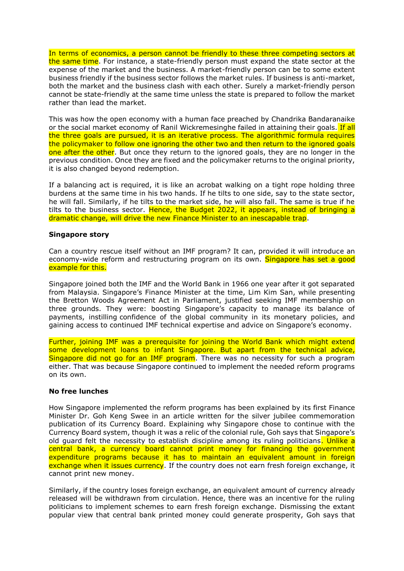In terms of economics, a person cannot be friendly to these three competing sectors at the same time. For instance, a state-friendly person must expand the state sector at the expense of the market and the business. A market-friendly person can be to some extent business friendly if the business sector follows the market rules. If business is anti-market, both the market and the business clash with each other. Surely a market-friendly person cannot be state-friendly at the same time unless the state is prepared to follow the market rather than lead the market.

This was how the open economy with a human face preached by Chandrika Bandaranaike or the social market economy of Ranil Wickremesinghe failed in attaining their goals. If all the three goals are pursued, it is an iterative process. The algorithmic formula requires the policymaker to follow one ignoring the other two and then return to the ignored goals one after the other. But once they return to the ignored goals, they are no longer in the previous condition. Once they are fixed and the policymaker returns to the original priority, it is also changed beyond redemption.

If a balancing act is required, it is like an acrobat walking on a tight rope holding three burdens at the same time in his two hands. If he tilts to one side, say to the state sector, he will fall. Similarly, if he tilts to the market side, he will also fall. The same is true if he tilts to the business sector. Hence, the Budget 2022, it appears, instead of bringing a dramatic change, will drive the new Finance Minister to an inescapable trap.

#### **Singapore story**

Can a country rescue itself without an IMF program? It can, provided it will introduce an economy-wide reform and restructuring program on its own. Singapore has set a good example for this.

Singapore joined both the IMF and the World Bank in 1966 one year after it got separated from Malaysia. Singapore's Finance Minister at the time, Lim Kim San, while presenting the Bretton Woods Agreement Act in Parliament, justified seeking IMF membership on three grounds. They were: boosting Singapore's capacity to manage its balance of payments, instilling confidence of the global community in its monetary policies, and gaining access to continued IMF technical expertise and advice on Singapore's economy.

Further, joining IMF was a prerequisite for joining the World Bank which might extend some development loans to infant Singapore. But apart from the technical advice, Singapore did not go for an IMF program. There was no necessity for such a program either. That was because Singapore continued to implement the needed reform programs on its own.

#### **No free lunches**

How Singapore implemented the reform programs has been explained by its first Finance Minister Dr. Goh Keng Swee in an article written for the silver jubilee commemoration publication of its Currency Board. Explaining why Singapore chose to continue with the Currency Board system, though it was a relic of the colonial rule, Goh says that Singapore's old guard felt the necessity to establish discipline among its ruling politicians. Unlike a central bank, a currency board cannot print money for financing the government expenditure programs because it has to maintain an equivalent amount in foreign exchange when it issues currency. If the country does not earn fresh foreign exchange, it cannot print new money.

Similarly, if the country loses foreign exchange, an equivalent amount of currency already released will be withdrawn from circulation. Hence, there was an incentive for the ruling politicians to implement schemes to earn fresh foreign exchange. Dismissing the extant popular view that central bank printed money could generate prosperity, Goh says that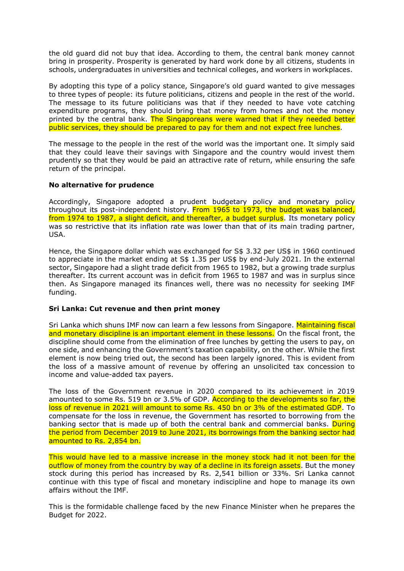the old guard did not buy that idea. According to them, the central bank money cannot bring in prosperity. Prosperity is generated by hard work done by all citizens, students in schools, undergraduates in universities and technical colleges, and workers in workplaces.

By adopting this type of a policy stance, Singapore's old guard wanted to give messages to three types of people: its future politicians, citizens and people in the rest of the world. The message to its future politicians was that if they needed to have vote catching expenditure programs, they should bring that money from homes and not the money printed by the central bank. The Singaporeans were warned that if they needed better public services, they should be prepared to pay for them and not expect free lunches.

The message to the people in the rest of the world was the important one. It simply said that they could leave their savings with Singapore and the country would invest them prudently so that they would be paid an attractive rate of return, while ensuring the safe return of the principal.

#### **No alternative for prudence**

Accordingly, Singapore adopted a prudent budgetary policy and monetary policy throughout its post-independent history. From 1965 to 1973, the budget was balanced, from 1974 to 1987, a slight deficit, and thereafter, a budget surplus. Its monetary policy was so restrictive that its inflation rate was lower than that of its main trading partner, USA.

Hence, the Singapore dollar which was exchanged for S\$ 3.32 per US\$ in 1960 continued to appreciate in the market ending at S\$ 1.35 per US\$ by end-July 2021. In the external sector, Singapore had a slight trade deficit from 1965 to 1982, but a growing trade surplus thereafter. Its current account was in deficit from 1965 to 1987 and was in surplus since then. As Singapore managed its finances well, there was no necessity for seeking IMF funding.

#### **Sri Lanka: Cut revenue and then print money**

Sri Lanka which shuns IMF now can learn a few lessons from Singapore. Maintaining fiscal and monetary discipline is an important element in these lessons. On the fiscal front, the discipline should come from the elimination of free lunches by getting the users to pay, on one side, and enhancing the Government's taxation capability, on the other. While the first element is now being tried out, the second has been largely ignored. This is evident from the loss of a massive amount of revenue by offering an unsolicited tax concession to income and value-added tax payers.

The loss of the Government revenue in 2020 compared to its achievement in 2019 amounted to some Rs. 519 bn or 3.5% of GDP. According to the developments so far, the loss of revenue in 2021 will amount to some Rs. 450 bn or 3% of the estimated GDP. To compensate for the loss in revenue, the Government has resorted to borrowing from the banking sector that is made up of both the central bank and commercial banks. During the period from December 2019 to June 2021, its borrowings from the banking sector had amounted to Rs. 2,854 bn.

This would have led to a massive increase in the money stock had it not been for the outflow of money from the country by way of a decline in its foreign assets. But the money stock during this period has increased by Rs. 2,541 billion or 33%. Sri Lanka cannot continue with this type of fiscal and monetary indiscipline and hope to manage its own affairs without the IMF.

This is the formidable challenge faced by the new Finance Minister when he prepares the Budget for 2022.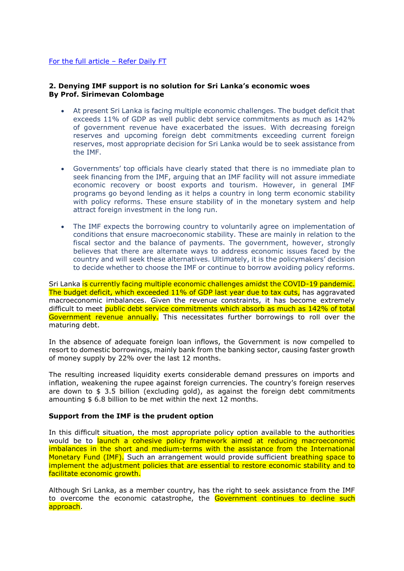# [For the full article](https://www.ft.lk/opinion/IMF-or-not-What-other-options-are-available-for-Sri-Lanka/14-721142) – Refer Daily FT

# **2. Denying IMF support is no solution for Sri Lanka's economic woes By Prof. Sirimevan Colombage**

- At present Sri Lanka is facing multiple economic challenges. The budget deficit that exceeds 11% of GDP as well public debt service commitments as much as 142% of government revenue have exacerbated the issues. With decreasing foreign reserves and upcoming foreign debt commitments exceeding current foreign reserves, most appropriate decision for Sri Lanka would be to seek assistance from the IMF.
- Governments' top officials have clearly stated that there is no immediate plan to seek financing from the IMF, arguing that an IMF facility will not assure immediate economic recovery or boost exports and tourism. However, in general IMF programs go beyond lending as it helps a country in long term economic stability with policy reforms. These ensure stability of in the monetary system and help attract foreign investment in the long run.
- The IMF expects the borrowing country to voluntarily agree on implementation of conditions that ensure macroeconomic stability. These are mainly in relation to the fiscal sector and the balance of payments. The government, however, strongly believes that there are alternate ways to address economic issues faced by the country and will seek these alternatives. Ultimately, it is the policymakers' decision to decide whether to choose the IMF or continue to borrow avoiding policy reforms.

Sri Lanka is currently facing multiple economic challenges amidst the COVID-19 pandemic. The budget deficit, which exceeded 11% of GDP last year due to tax cuts, has aggravated macroeconomic imbalances. Given the revenue constraints, it has become extremely difficult to meet public debt service commitments which absorb as much as 142% of total Government revenue annually. This necessitates further borrowings to roll over the maturing debt.

In the absence of adequate foreign loan inflows, the Government is now compelled to resort to domestic borrowings, mainly bank from the banking sector, causing faster growth of money supply by 22% over the last 12 months.

The resulting increased liquidity exerts considerable demand pressures on imports and inflation, weakening the rupee against foreign currencies. The country's foreign reserves are down to \$ 3.5 billion (excluding gold), as against the foreign debt commitments amounting \$ 6.8 billion to be met within the next 12 months.

#### **Support from the IMF is the prudent option**

In this difficult situation, the most appropriate policy option available to the authorities would be to launch a cohesive policy framework aimed at reducing macroeconomic imbalances in the short and medium-terms with the assistance from the International Monetary Fund (IMF). Such an arrangement would provide sufficient breathing space to implement the adjustment policies that are essential to restore economic stability and to facilitate economic growth.

Although Sri Lanka, as a member country, has the right to seek assistance from the IMF to overcome the economic catastrophe, the Government continues to decline such approach.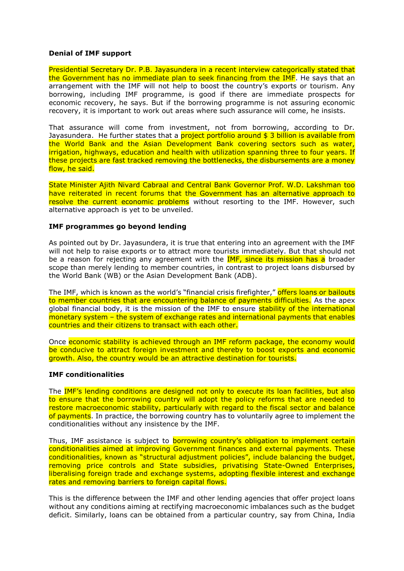#### **Denial of IMF support**

Presidential Secretary Dr. P.B. Jayasundera in a recent interview categorically stated that the Government has no immediate plan to seek financing from the IMF. He says that an arrangement with the IMF will not help to boost the country's exports or tourism. Any borrowing, including IMF programme, is good if there are immediate prospects for economic recovery, he says. But if the borrowing programme is not assuring economic recovery, it is important to work out areas where such assurance will come, he insists.

That assurance will come from investment, not from borrowing, according to Dr. Jayasundera. He further states that a **project portfolio around \$ 3 billion is available from** the World Bank and the Asian Development Bank covering sectors such as water, irrigation, highways, education and health with utilization spanning three to four years. If these projects are fast tracked removing the bottlenecks, the disbursements are a money flow, he said.

State Minister Ajith Nivard Cabraal and Central Bank Governor Prof. W.D. Lakshman too have reiterated in recent forums that the Government has an alternative approach to resolve the current economic problems without resorting to the IMF. However, such alternative approach is yet to be unveiled.

#### **IMF programmes go beyond lending**

As pointed out by Dr. Jayasundera, it is true that entering into an agreement with the IMF will not help to raise exports or to attract more tourists immediately. But that should not be a reason for rejecting any agreement with the **IMF**, since its mission has a broader scope than merely lending to member countries, in contrast to project loans disbursed by the World Bank (WB) or the Asian Development Bank (ADB).

The IMF, which is known as the world's "financial crisis firefighter," offers loans or bailouts to member countries that are encountering balance of payments difficulties. As the apex global financial body, it is the mission of the IMF to ensure **stability of the international** monetary system – the system of exchange rates and international payments that enables countries and their citizens to transact with each other.

Once economic stability is achieved through an IMF reform package, the economy would be conducive to attract foreign investment and thereby to boost exports and economic growth. Also, the country would be an attractive destination for tourists.

#### **IMF conditionalities**

The IMF's lending conditions are designed not only to execute its loan facilities, but also to ensure that the borrowing country will adopt the policy reforms that are needed to restore macroeconomic stability, particularly with regard to the fiscal sector and balance of payments. In practice, the borrowing country has to voluntarily agree to implement the conditionalities without any insistence by the IMF.

Thus, IMF assistance is subject to **borrowing country's obligation to implement certain** conditionalities aimed at improving Government finances and external payments. These conditionalities, known as "structural adjustment policies", include balancing the budget, removing price controls and State subsidies, privatising State-Owned Enterprises, liberalising foreign trade and exchange systems, adopting flexible interest and exchange rates and removing barriers to foreign capital flows.

This is the difference between the IMF and other lending agencies that offer project loans without any conditions aiming at rectifying macroeconomic imbalances such as the budget deficit. Similarly, loans can be obtained from a particular country, say from China, India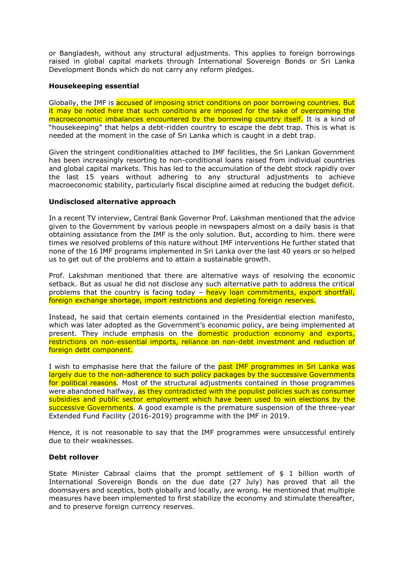or Bangladesh, without any structural adjustments. This applies to foreign borrowings raised in global capital markets through International Sovereign Bonds or Sri Lanka Development Bonds which do not carry any reform pledges.

# **Housekeeping essential**

Globally, the IMF is accused of imposing strict conditions on poor borrowing countries. But it may be noted here that such conditions are imposed for the sake of overcoming the macroeconomic imbalances encountered by the borrowing country itself. It is a kind of "housekeeping" that helps a debt-ridden country to escape the debt trap. This is what is needed at the moment in the case of Sri Lanka which is caught in a debt trap.

Given the stringent conditionalities attached to IMF facilities, the Sri Lankan Government has been increasingly resorting to non-conditional loans raised from individual countries and global capital markets. This has led to the accumulation of the debt stock rapidly over the last 15 years without adhering to any structural adjustments to achieve macroeconomic stability, particularly fiscal discipline aimed at reducing the budget deficit.

# **Undisclosed alternative approach**

In a recent TV interview, Central Bank Governor Prof. Lakshman mentioned that the advice given to the Government by various people in newspapers almost on a daily basis is that obtaining assistance from the IMF is the only solution. But, according to him. there were times we resolved problems of this nature without IMF interventions He further stated that none of the 16 IMF programs implemented in Sri Lanka over the last 40 years or so helped us to get out of the problems and to attain a sustainable growth.

Prof. Lakshman mentioned that there are alternative ways of resolving the economic setback. But as usual he did not disclose any such alternative path to address the critical problems that the country is facing today - heavy loan commitments, export shortfall, foreign exchange shortage, import restrictions and depleting foreign reserves.

Instead, he said that certain elements contained in the Presidential election manifesto, which was later adopted as the Government's economic policy, are being implemented at present. They include emphasis on the domestic production economy and exports, restrictions on non-essential imports, reliance on non-debt investment and reduction of foreign debt component.

I wish to emphasise here that the failure of the past IMF programmes in Sri Lanka was largely due to the non-adherence to such policy packages by the successive Governments for political reasons. Most of the structural adjustments contained in those programmes were abandoned halfway, as they contradicted with the populist policies such as consumer subsidies and public sector employment which have been used to win elections by the successive Governments. A good example is the premature suspension of the three-year Extended Fund Facility (2016-2019) programme with the IMF in 2019.

Hence, it is not reasonable to say that the IMF programmes were unsuccessful entirely due to their weaknesses.

#### **Debt rollover**

State Minister Cabraal claims that the prompt settlement of \$ 1 billion worth of International Sovereign Bonds on the due date (27 July) has proved that all the doomsayers and sceptics, both globally and locally, are wrong. He mentioned that multiple measures have been implemented to first stabilize the economy and stimulate thereafter, and to preserve foreign currency reserves.